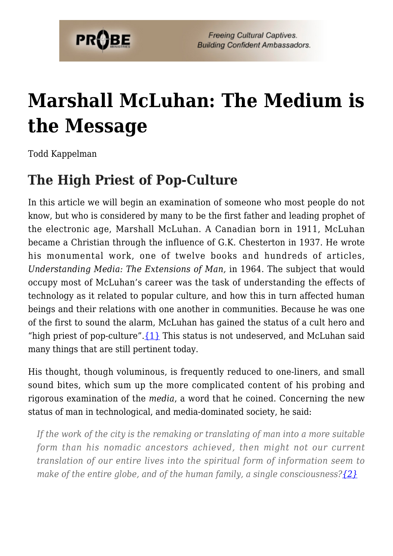

# **[Marshall McLuhan: The Medium is](https://probe.org/marshall-mcluhan-the-medium-is-the-message/) [the Message](https://probe.org/marshall-mcluhan-the-medium-is-the-message/)**

Todd Kappelman

#### **The High Priest of Pop-Culture**

In this article we will begin an examination of someone who most people do not know, but who is considered by many to be the first father and leading prophet of the electronic age, Marshall McLuhan. A Canadian born in 1911, McLuhan became a Christian through the influence of G.K. Chesterton in 1937. He wrote his monumental work, one of twelve books and hundreds of articles, *Understanding Media: The Extensions of Man,* in 1964. The subject that would occupy most of McLuhan's career was the task of understanding the effects of technology as it related to popular culture, and how this in turn affected human beings and their relations with one another in communities. Because he was one of the first to sound the alarm, McLuhan has gained the status of a cult hero and "high priest of pop-culture".  $\{1\}$  This status is not undeserved, and McLuhan said many things that are still pertinent today.

His thought, though voluminous, is frequently reduced to one-liners, and small sound bites, which sum up the more complicated content of his probing and rigorous examination of the *media*, a word that he coined. Concerning the new status of man in technological, and media-dominated society, he said:

*If the work of the city is the remaking or translating of man into a more suitable form than his nomadic ancestors achieved, then might not our current translation of our entire lives into the spiritual form of information seem to make of the entire globe, and of the human family, a single consciousness?[{2}](#page-7-0)*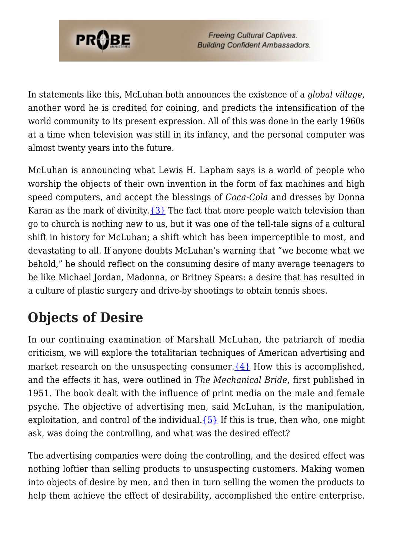

In statements like this, McLuhan both announces the existence of a *global village*, another word he is credited for coining, and predicts the intensification of the world community to its present expression. All of this was done in the early 1960s at a time when television was still in its infancy, and the personal computer was almost twenty years into the future.

McLuhan is announcing what Lewis H. Lapham says is a world of people who worship the objects of their own invention in the form of fax machines and high speed computers, and accept the blessings of *Coca-Cola* and dresses by Donna Karan as the mark of divinity.  $\{3\}$  The fact that more people watch television than go to church is nothing new to us, but it was one of the tell-tale signs of a cultural shift in history for McLuhan; a shift which has been imperceptible to most, and devastating to all. If anyone doubts McLuhan's warning that "we become what we behold," he should reflect on the consuming desire of many average teenagers to be like Michael Jordan, Madonna, or Britney Spears: a desire that has resulted in a culture of plastic surgery and drive-by shootings to obtain tennis shoes.

## **Objects of Desire**

In our continuing examination of Marshall McLuhan, the patriarch of media criticism, we will explore the totalitarian techniques of American advertising and market research on the unsuspecting consumer.  $\{4\}$  How this is accomplished, and the effects it has, were outlined in *The Mechanical Bride*, first published in 1951. The book dealt with the influence of print media on the male and female psyche. The objective of advertising men, said McLuhan, is the manipulation, exploitation, and control of the individual. ${5}$  If this is true, then who, one might ask, was doing the controlling, and what was the desired effect?

The advertising companies were doing the controlling, and the desired effect was nothing loftier than selling products to unsuspecting customers. Making women into objects of desire by men, and then in turn selling the women the products to help them achieve the effect of desirability, accomplished the entire enterprise.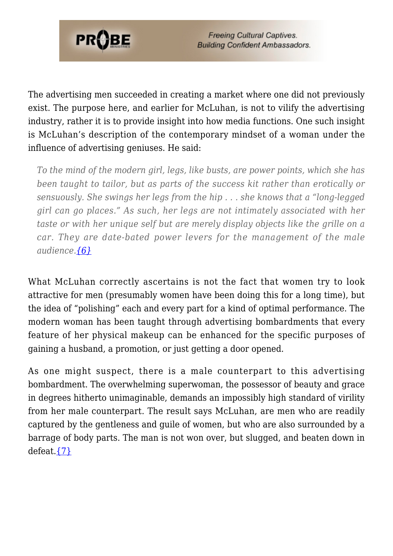

The advertising men succeeded in creating a market where one did not previously exist. The purpose here, and earlier for McLuhan, is not to vilify the advertising industry, rather it is to provide insight into how media functions. One such insight is McLuhan's description of the contemporary mindset of a woman under the influence of advertising geniuses. He said:

*To the mind of the modern girl, legs, like busts, are power points, which she has been taught to tailor, but as parts of the success kit rather than erotically or sensuously. She swings her legs from the hip . . . she knows that a "long-legged girl can go places." As such, her legs are not intimately associated with her taste or with her unique self but are merely display objects like the grille on a car. They are date-bated power levers for the management of the male audience.[{6}](#page-7-4)*

What McLuhan correctly ascertains is not the fact that women try to look attractive for men (presumably women have been doing this for a long time), but the idea of "polishing" each and every part for a kind of optimal performance. The modern woman has been taught through advertising bombardments that every feature of her physical makeup can be enhanced for the specific purposes of gaining a husband, a promotion, or just getting a door opened.

As one might suspect, there is a male counterpart to this advertising bombardment. The overwhelming superwoman, the possessor of beauty and grace in degrees hitherto unimaginable, demands an impossibly high standard of virility from her male counterpart. The result says McLuhan, are men who are readily captured by the gentleness and guile of women, but who are also surrounded by a barrage of body parts. The man is not won over, but slugged, and beaten down in defeat. $\{7\}$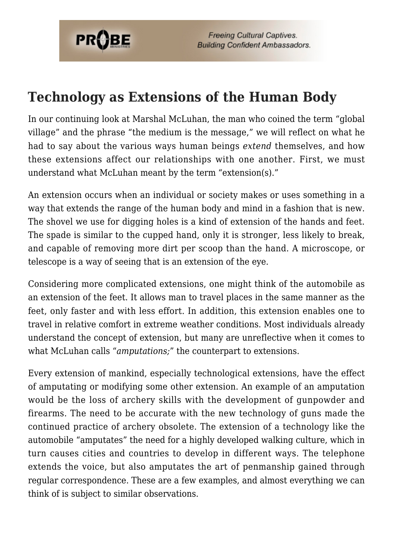

#### **Technology as Extensions of the Human Body**

In our continuing look at Marshal McLuhan, the man who coined the term "global village" and the phrase "the medium is the message," we will reflect on what he had to say about the various ways human beings *extend* themselves, and how these extensions affect our relationships with one another. First, we must understand what McLuhan meant by the term "extension(s)."

An extension occurs when an individual or society makes or uses something in a way that extends the range of the human body and mind in a fashion that is new. The shovel we use for digging holes is a kind of extension of the hands and feet. The spade is similar to the cupped hand, only it is stronger, less likely to break, and capable of removing more dirt per scoop than the hand. A microscope, or telescope is a way of seeing that is an extension of the eye.

Considering more complicated extensions, one might think of the automobile as an extension of the feet. It allows man to travel places in the same manner as the feet, only faster and with less effort. In addition, this extension enables one to travel in relative comfort in extreme weather conditions. Most individuals already understand the concept of extension, but many are unreflective when it comes to what McLuhan calls "*amputations;*" the counterpart to extensions.

Every extension of mankind, especially technological extensions, have the effect of amputating or modifying some other extension. An example of an amputation would be the loss of archery skills with the development of gunpowder and firearms. The need to be accurate with the new technology of guns made the continued practice of archery obsolete. The extension of a technology like the automobile "amputates" the need for a highly developed walking culture, which in turn causes cities and countries to develop in different ways. The telephone extends the voice, but also amputates the art of penmanship gained through regular correspondence. These are a few examples, and almost everything we can think of is subject to similar observations.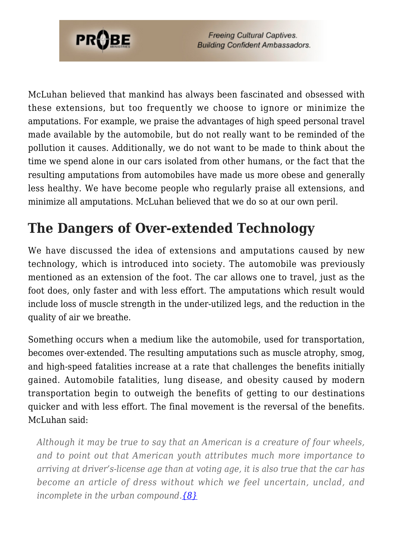

McLuhan believed that mankind has always been fascinated and obsessed with these extensions, but too frequently we choose to ignore or minimize the amputations. For example, we praise the advantages of high speed personal travel made available by the automobile, but do not really want to be reminded of the pollution it causes. Additionally, we do not want to be made to think about the time we spend alone in our cars isolated from other humans, or the fact that the resulting amputations from automobiles have made us more obese and generally less healthy. We have become people who regularly praise all extensions, and minimize all amputations. McLuhan believed that we do so at our own peril.

# **The Dangers of Over-extended Technology**

We have discussed the idea of extensions and amputations caused by new technology, which is introduced into society. The automobile was previously mentioned as an extension of the foot. The car allows one to travel, just as the foot does, only faster and with less effort. The amputations which result would include loss of muscle strength in the under-utilized legs, and the reduction in the quality of air we breathe.

Something occurs when a medium like the automobile, used for transportation, becomes over-extended. The resulting amputations such as muscle atrophy, smog, and high-speed fatalities increase at a rate that challenges the benefits initially gained. Automobile fatalities, lung disease, and obesity caused by modern transportation begin to outweigh the benefits of getting to our destinations quicker and with less effort. The final movement is the reversal of the benefits. McLuhan said:

*Although it may be true to say that an American is a creature of four wheels, and to point out that American youth attributes much more importance to arriving at driver's-license age than at voting age, it is also true that the car has become an article of dress without which we feel uncertain, unclad, and incomplete in the urban compound.[{8}](#page-7-6)*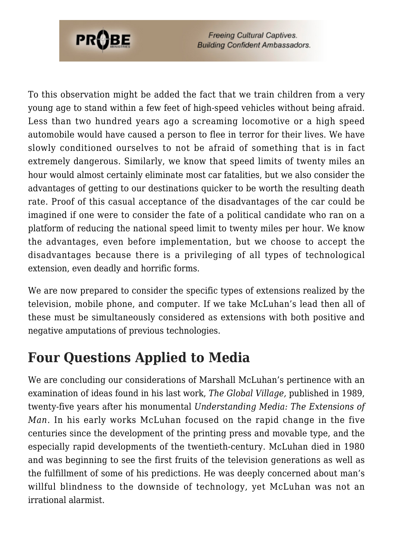

To this observation might be added the fact that we train children from a very young age to stand within a few feet of high-speed vehicles without being afraid. Less than two hundred years ago a screaming locomotive or a high speed automobile would have caused a person to flee in terror for their lives. We have slowly conditioned ourselves to not be afraid of something that is in fact extremely dangerous. Similarly, we know that speed limits of twenty miles an hour would almost certainly eliminate most car fatalities, but we also consider the advantages of getting to our destinations quicker to be worth the resulting death rate. Proof of this casual acceptance of the disadvantages of the car could be imagined if one were to consider the fate of a political candidate who ran on a platform of reducing the national speed limit to twenty miles per hour. We know the advantages, even before implementation, but we choose to accept the disadvantages because there is a privileging of all types of technological extension, even deadly and horrific forms.

We are now prepared to consider the specific types of extensions realized by the television, mobile phone, and computer. If we take McLuhan's lead then all of these must be simultaneously considered as extensions with both positive and negative amputations of previous technologies.

### **Four Questions Applied to Media**

We are concluding our considerations of Marshall McLuhan's pertinence with an examination of ideas found in his last work, *The Global Village,* published in 1989, twenty-five years after his monumental *Understanding Media: The Extensions of Man.* In his early works McLuhan focused on the rapid change in the five centuries since the development of the printing press and movable type, and the especially rapid developments of the twentieth-century. McLuhan died in 1980 and was beginning to see the first fruits of the television generations as well as the fulfillment of some of his predictions. He was deeply concerned about man's willful blindness to the downside of technology, yet McLuhan was not an irrational alarmist.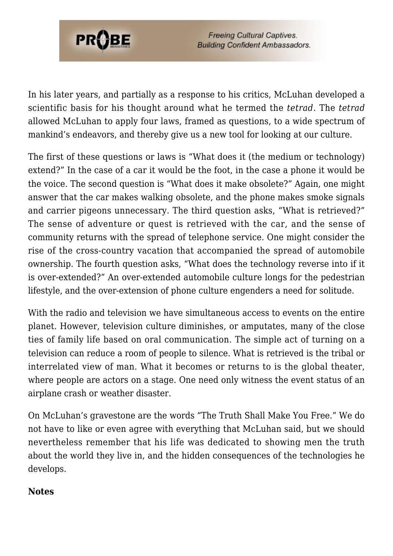

In his later years, and partially as a response to his critics, McLuhan developed a scientific basis for his thought around what he termed the *tetrad*. The *tetrad* allowed McLuhan to apply four laws, framed as questions, to a wide spectrum of mankind's endeavors, and thereby give us a new tool for looking at our culture.

The first of these questions or laws is "What does it (the medium or technology) extend?" In the case of a car it would be the foot, in the case a phone it would be the voice. The second question is "What does it make obsolete?" Again, one might answer that the car makes walking obsolete, and the phone makes smoke signals and carrier pigeons unnecessary. The third question asks, "What is retrieved?" The sense of adventure or quest is retrieved with the car, and the sense of community returns with the spread of telephone service. One might consider the rise of the cross-country vacation that accompanied the spread of automobile ownership. The fourth question asks, "What does the technology reverse into if it is over-extended?" An over-extended automobile culture longs for the pedestrian lifestyle, and the over-extension of phone culture engenders a need for solitude.

With the radio and television we have simultaneous access to events on the entire planet. However, television culture diminishes, or amputates, many of the close ties of family life based on oral communication. The simple act of turning on a television can reduce a room of people to silence. What is retrieved is the tribal or interrelated view of man. What it becomes or returns to is the global theater, where people are actors on a stage. One need only witness the event status of an airplane crash or weather disaster.

On McLuhan's gravestone are the words "The Truth Shall Make You Free." We do not have to like or even agree with everything that McLuhan said, but we should nevertheless remember that his life was dedicated to showing men the truth about the world they live in, and the hidden consequences of the technologies he develops.

#### <span id="page-6-0"></span>**Notes**